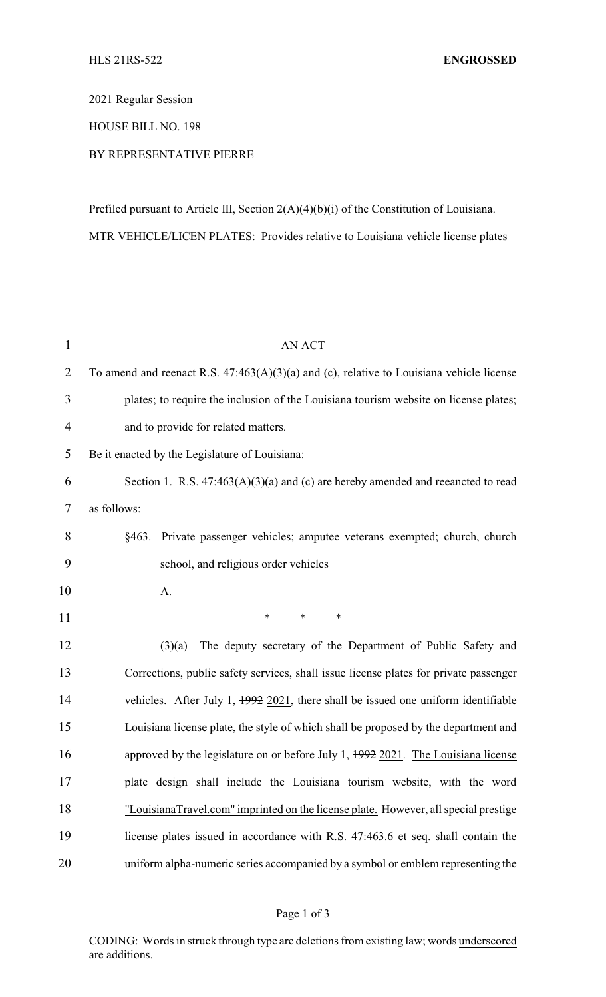2021 Regular Session

## HOUSE BILL NO. 198

## BY REPRESENTATIVE PIERRE

Prefiled pursuant to Article III, Section 2(A)(4)(b)(i) of the Constitution of Louisiana. MTR VEHICLE/LICEN PLATES: Provides relative to Louisiana vehicle license plates

| $\mathbf{1}$   | <b>AN ACT</b>                                                                                |
|----------------|----------------------------------------------------------------------------------------------|
| $\overline{2}$ | To amend and reenact R.S. $47:463(A)(3)(a)$ and (c), relative to Louisiana vehicle license   |
| 3              | plates; to require the inclusion of the Louisiana tourism website on license plates;         |
| $\overline{4}$ | and to provide for related matters.                                                          |
| 5              | Be it enacted by the Legislature of Louisiana:                                               |
| 6              | Section 1. R.S. $47:463(A)(3)(a)$ and (c) are hereby amended and reeancted to read           |
| 7              | as follows:                                                                                  |
| 8              | Private passenger vehicles; amputee veterans exempted; church, church<br>§463.               |
| 9              | school, and religious order vehicles                                                         |
| 10             | A.                                                                                           |
| 11             | $\ast$<br>*<br>*                                                                             |
| 12             | The deputy secretary of the Department of Public Safety and<br>(3)(a)                        |
| 13             | Corrections, public safety services, shall issue license plates for private passenger        |
| 14             | vehicles. After July 1, $\frac{1992}{2021}$ , there shall be issued one uniform identifiable |
| 15             | Louisiana license plate, the style of which shall be proposed by the department and          |
| 16             | approved by the legislature on or before July 1, $1992$ 2021. The Louisiana license          |
| 17             | plate design shall include the Louisiana tourism website, with the word                      |
| 18             | "LouisianaTravel.com" imprinted on the license plate. However, all special prestige          |
| 19             | license plates issued in accordance with R.S. 47:463.6 et seq. shall contain the             |
| 20             | uniform alpha-numeric series accompanied by a symbol or emblem representing the              |

## Page 1 of 3

CODING: Words in struck through type are deletions from existing law; words underscored are additions.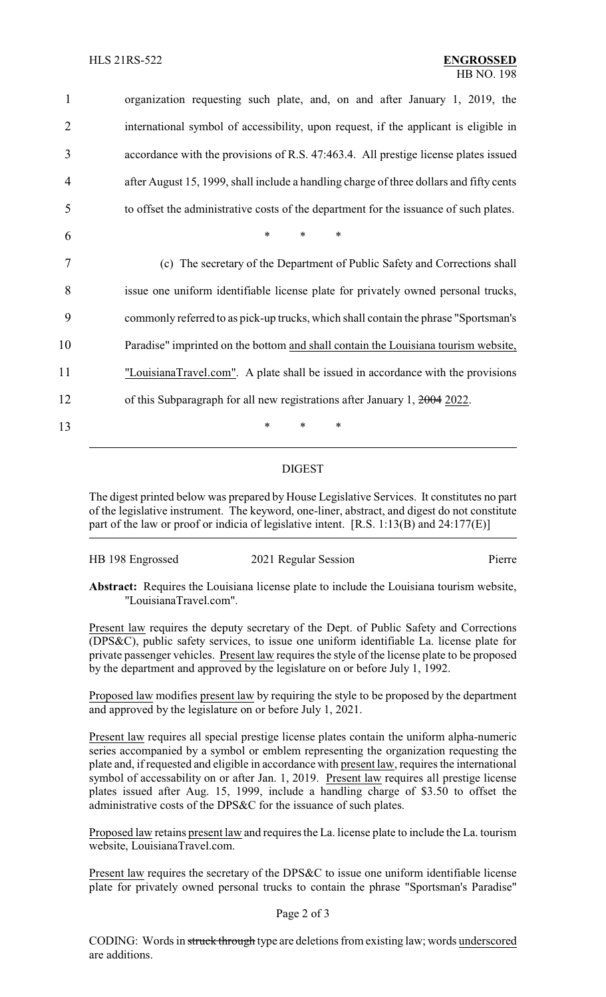organization requesting such plate, and, on and after January 1, 2019, the international symbol of accessibility, upon request, if the applicant is eligible in accordance with the provisions of R.S. 47:463.4. All prestige license plates issued after August 15, 1999, shall include a handling charge of three dollars and fifty cents to offset the administrative costs of the department for the issuance of such plates. 6 \* \* \* (c) The secretary of the Department of Public Safety and Corrections shall issue one uniform identifiable license plate for privately owned personal trucks, commonly referred to as pick-up trucks, which shall contain the phrase "Sportsman's Paradise" imprinted on the bottom and shall contain the Louisiana tourism website, "LouisianaTravel.com". A plate shall be issued in accordance with the provisions 12 of this Subparagraph for all new registrations after January 1, 2004 2022. 13 \* \* \*

## DIGEST

The digest printed below was prepared by House Legislative Services. It constitutes no part of the legislative instrument. The keyword, one-liner, abstract, and digest do not constitute part of the law or proof or indicia of legislative intent. [R.S. 1:13(B) and 24:177(E)]

| HB 198 Engrossed | 2021 Regular Session | Pierre |
|------------------|----------------------|--------|
|                  |                      |        |

**Abstract:** Requires the Louisiana license plate to include the Louisiana tourism website, "LouisianaTravel.com".

Present law requires the deputy secretary of the Dept. of Public Safety and Corrections (DPS&C), public safety services, to issue one uniform identifiable La. license plate for private passenger vehicles. Present law requires the style of the license plate to be proposed by the department and approved by the legislature on or before July 1, 1992.

Proposed law modifies present law by requiring the style to be proposed by the department and approved by the legislature on or before July 1, 2021.

Present law requires all special prestige license plates contain the uniform alpha-numeric series accompanied by a symbol or emblem representing the organization requesting the plate and, if requested and eligible in accordance with present law, requires the international symbol of accessability on or after Jan. 1, 2019. Present law requires all prestige license plates issued after Aug. 15, 1999, include a handling charge of \$3.50 to offset the administrative costs of the DPS&C for the issuance of such plates.

Proposed law retains present law and requires the La. license plate to include the La. tourism website, LouisianaTravel.com.

Present law requires the secretary of the DPS&C to issue one uniform identifiable license plate for privately owned personal trucks to contain the phrase "Sportsman's Paradise"